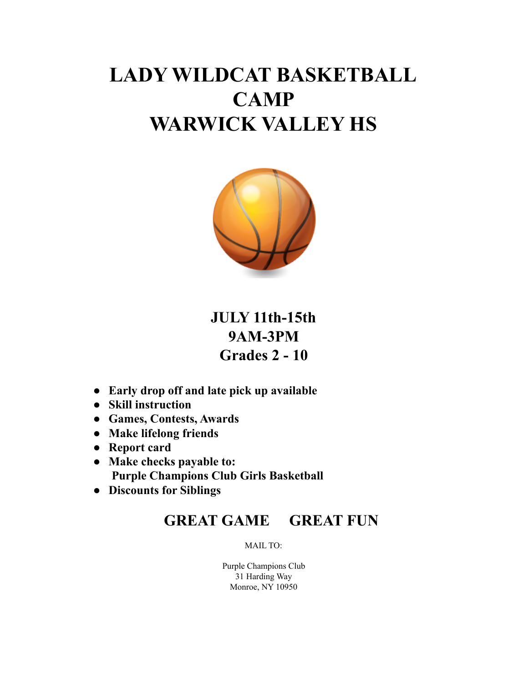## **LADY WILDCAT BASKETBALL CAMP WARWICK VALLEY HS**



**JULY 11th-15th 9AM-3PM Grades 2 - 10**

- **Early drop off and late pick up available**
- **Skill instruction**
- **Games, Contests, Awards**
- **Make lifelong friends**
- **Report card**
- **Make checks payable to: Purple Champions Club Girls Basketball**
- **● Discounts for Siblings**

## **GREAT GAME GREAT FUN**

MAIL TO:

Purple Champions Club 31 Harding Way Monroe, NY 10950